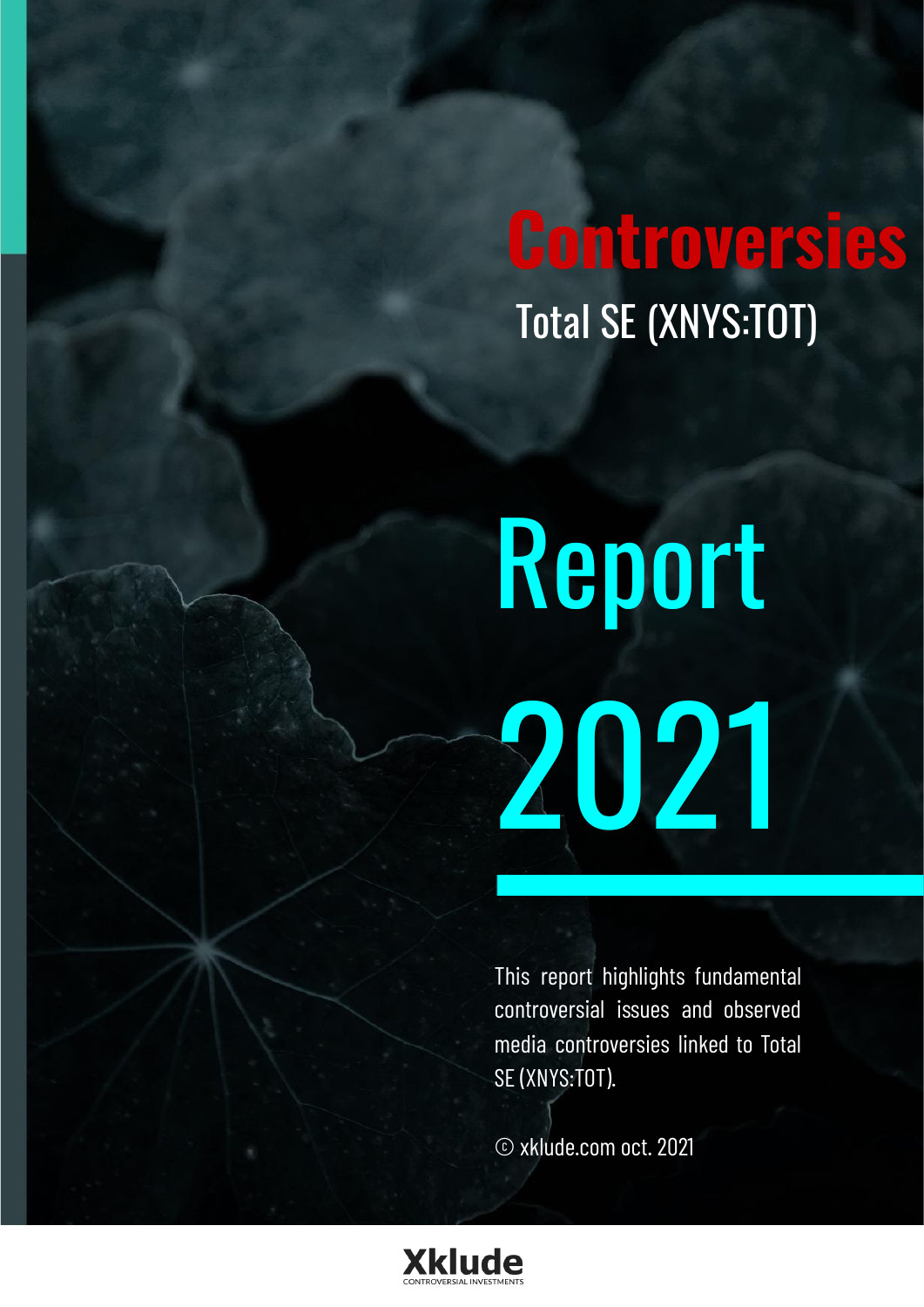## **Controversies** Total SE (XNYS:TOT)

# Report 2021

This report highlights fundamental controversial issues and observed media controversies linked to Total SE (XNYS:TOT).

© xklude.com oct. 2021

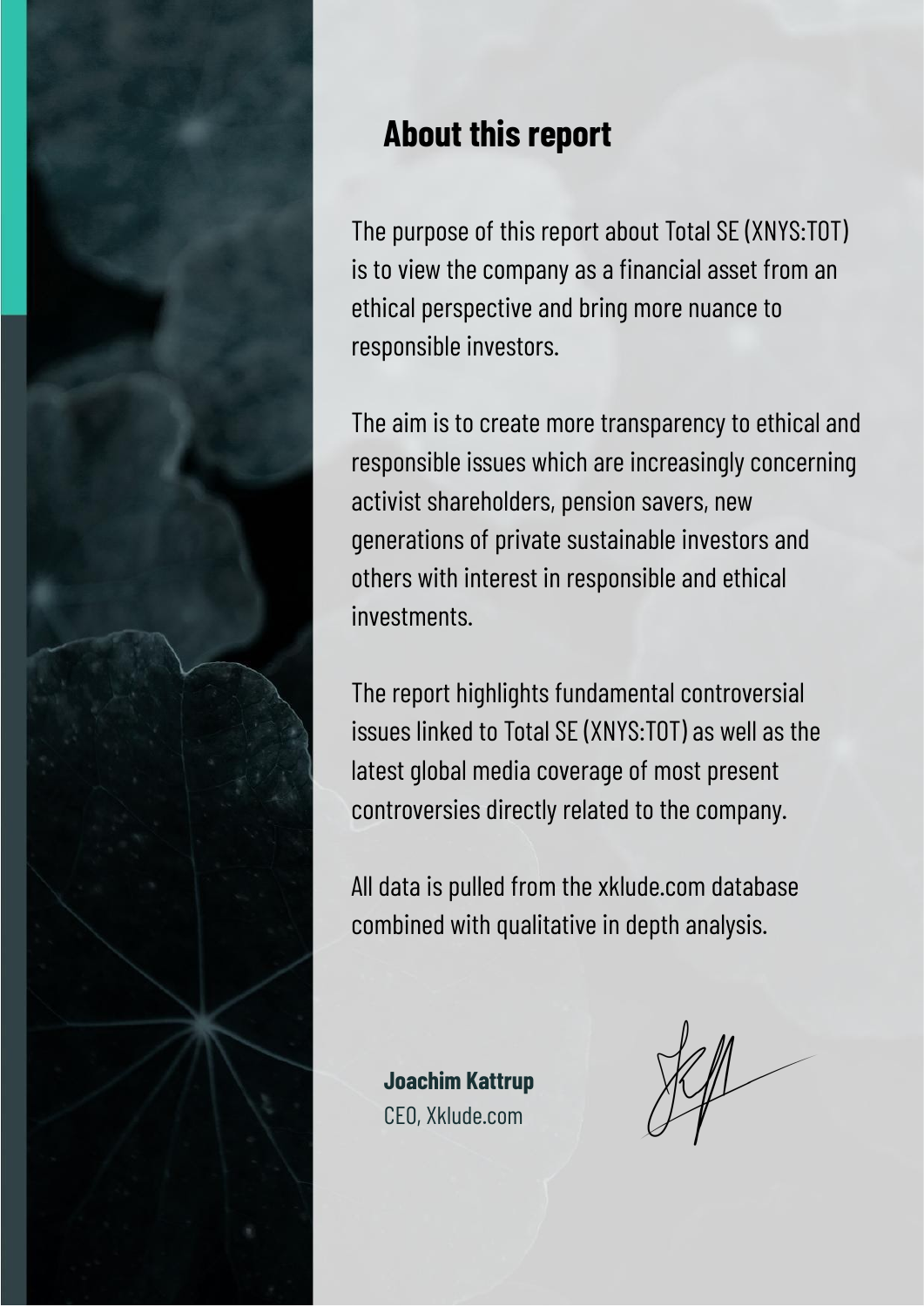

### **About this report**

The purpose of this report about Total SE (XNYS:TOT) is to view the company as a financial asset from an ethical perspective and bring more nuance to responsible investors.

The aim is to create more transparency to ethical and responsible issues which are increasingly concerning activist shareholders, pension savers, new generations of private sustainable investors and others with interest in responsible and ethical investments.

The report highlights fundamental controversial issues linked to Total SE (XNYS:TOT) as well as the latest global media coverage of most present controversies directly related to the company.

All data is pulled from the xklude.com database combined with qualitative in depth analysis.

**Joachim Kattrup** CEO, Xklude.com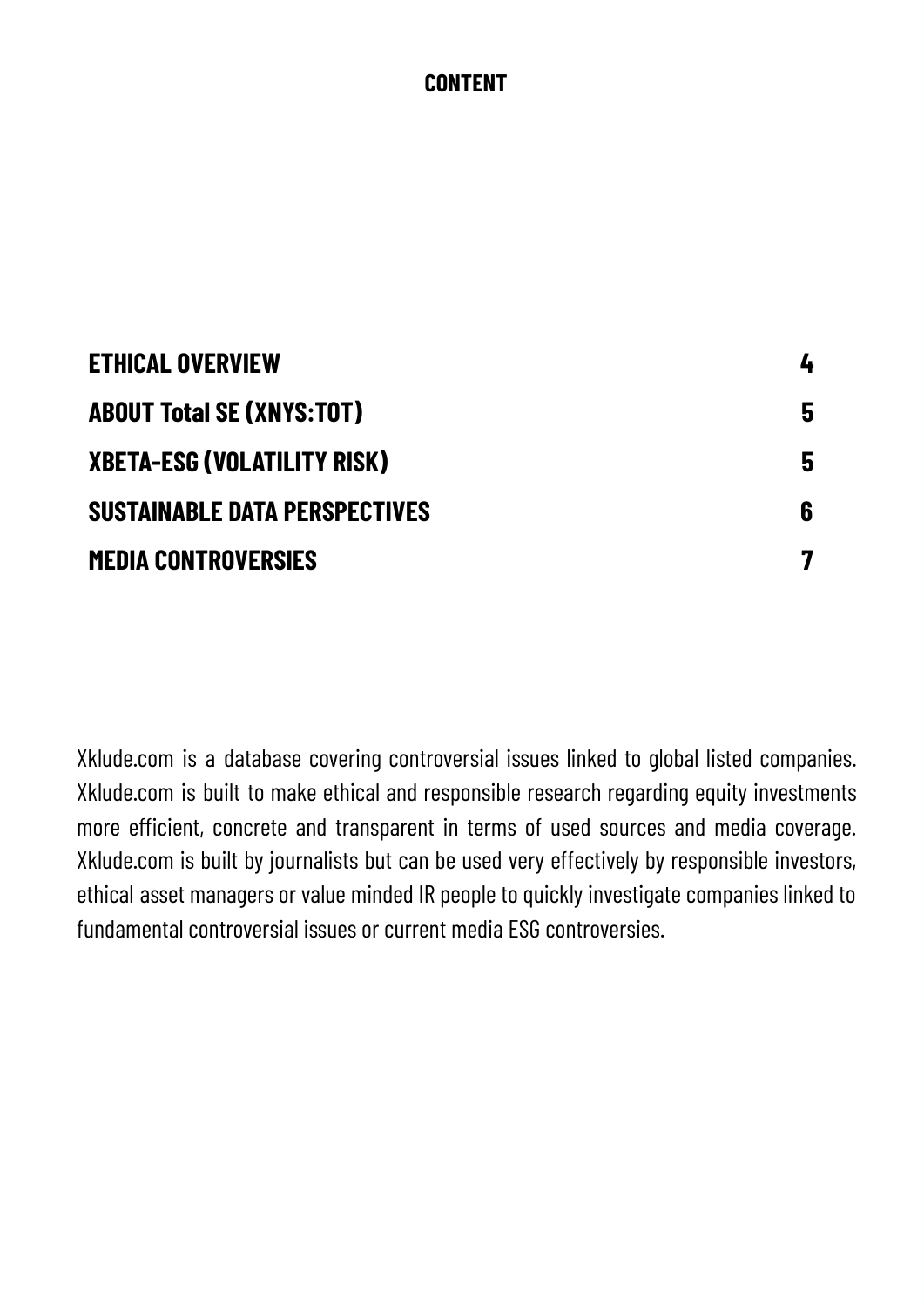#### **CONTENT**

| <b>ETHICAL OVERVIEW</b>          | 4 |
|----------------------------------|---|
| <b>ABOUT Total SE (XNYS:TOT)</b> | 5 |
| XBETA-ESG (VOLATILITY RISK)      | 5 |
| Sustainable data perspectives    | 6 |
| <b>MEDIA CONTROVERSIES</b>       | 7 |

Xklude.com is a database covering controversial issues linked to global listed companies. Xklude.com is built to make ethical and responsible research regarding equity investments more efficient, concrete and transparent in terms of used sources and media coverage. Xklude.com is built by journalists but can be used very effectively by responsible investors, ethical asset managers or value minded IR people to quickly investigate companies linked to fundamental controversial issues or current media ESG controversies.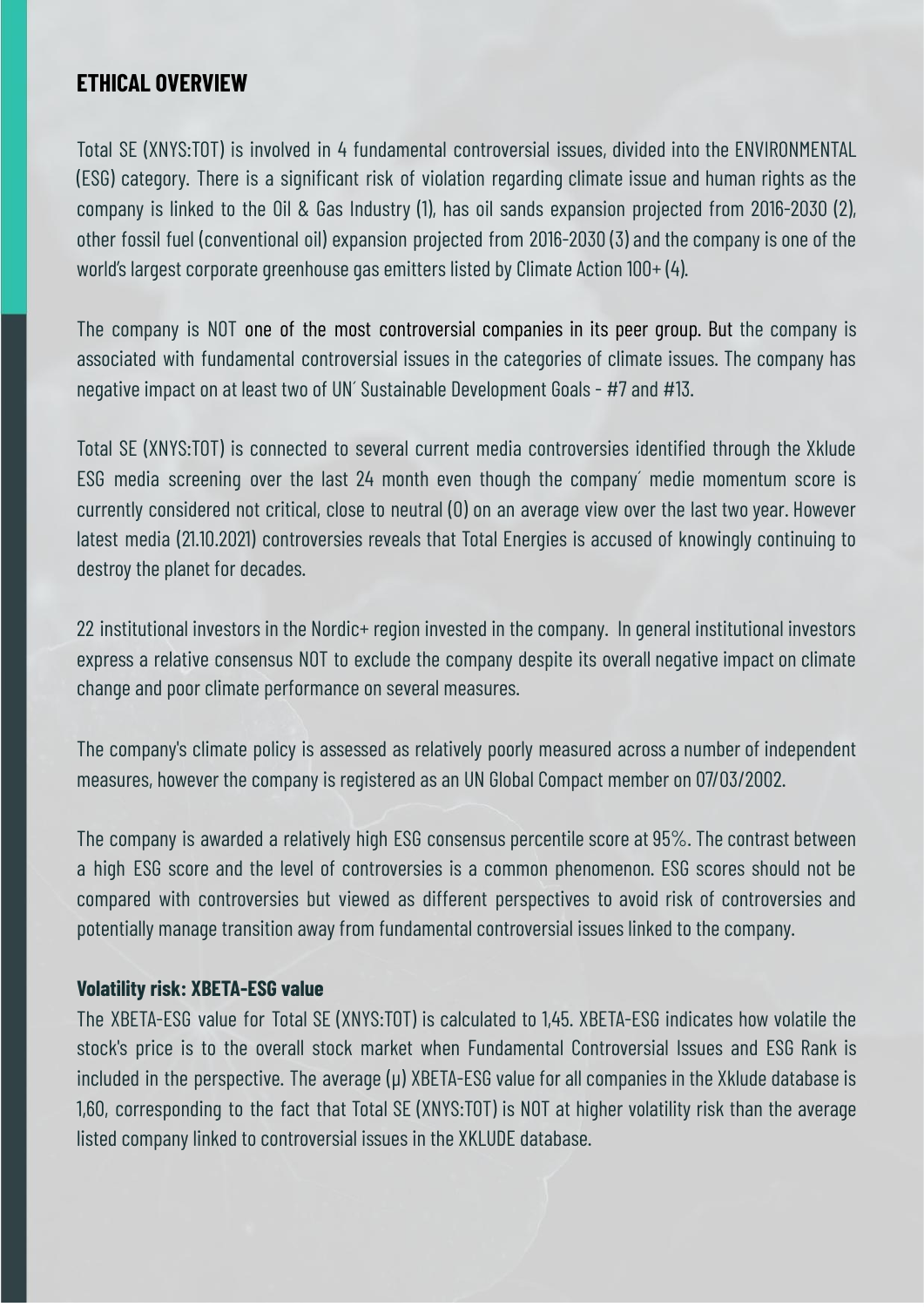#### <span id="page-3-0"></span>**ETHICAL OVERVIEW**

Total SE (XNYS:TOT) is involved in 4 fundamental controversial issues, divided into the ENVIRONMENTAL (ESG) category. There is a significant risk of violation regarding climate issue and human rights as the company is linked to the Oil & Gas Industry (1), has oil sands expansion projected from 2016-2030 (2), other fossil fuel (conventional oil) expansion projected from 2016-2030 (3) and the company is one of the world's largest corporate greenhouse gas emitters listed by Climate Action 100+ (4).

The company is NOT one of the most controversial companies in its peer group. But the company is associated with fundamental controversial issues in the categories of climate issues. The company has negative impact on at least two of UN´ Sustainable Development Goals - #7 and #13.

Total SE (XNYS:TOT) is connected to several current media controversies identified through the Xklude ESG media screening over the last 24 month even though the company´ medie momentum score is currently considered not critical, close to neutral (0) on an average view over the last two year. However latest media (21.10.2021) controversies reveals that Total Energies is accused of knowingly continuing to destroy the planet for decades.

22 institutional investors in the Nordic+ region invested in the company. In general institutional investors express a relative consensus NOT to exclude the company despite its overall negative impact on climate change and poor climate performance on several measures.

The company's climate policy is assessed as relatively poorly measured across a number of independent measures, however the company is registered as an UN Global Compact member on 07/03/2002.

The company is awarded a relatively high ESG consensus percentile score at 95%. The contrast between a high ESG score and the level of controversies is a common phenomenon. ESG scores should not be compared with controversies but viewed as different perspectives to avoid risk of controversies and potentially manage transition away from fundamental controversial issues linked to the company.

#### **Volatility risk: XBETA-ESG value**

The XBETA-ESG value for Total SE (XNYS:TOT) is calculated to 1,45. XBETA-ESG indicates how volatile the stock's price is to the overall stock market when Fundamental Controversial Issues and ESG Rank is included in the perspective. The average (μ) XBETA-ESG value for all companies in the Xklude database is 1,60, corresponding to the fact that Total SE (XNYS:TOT) is NOT at higher volatility risk than the average listed company linked to controversial issues in the XKLUDE database.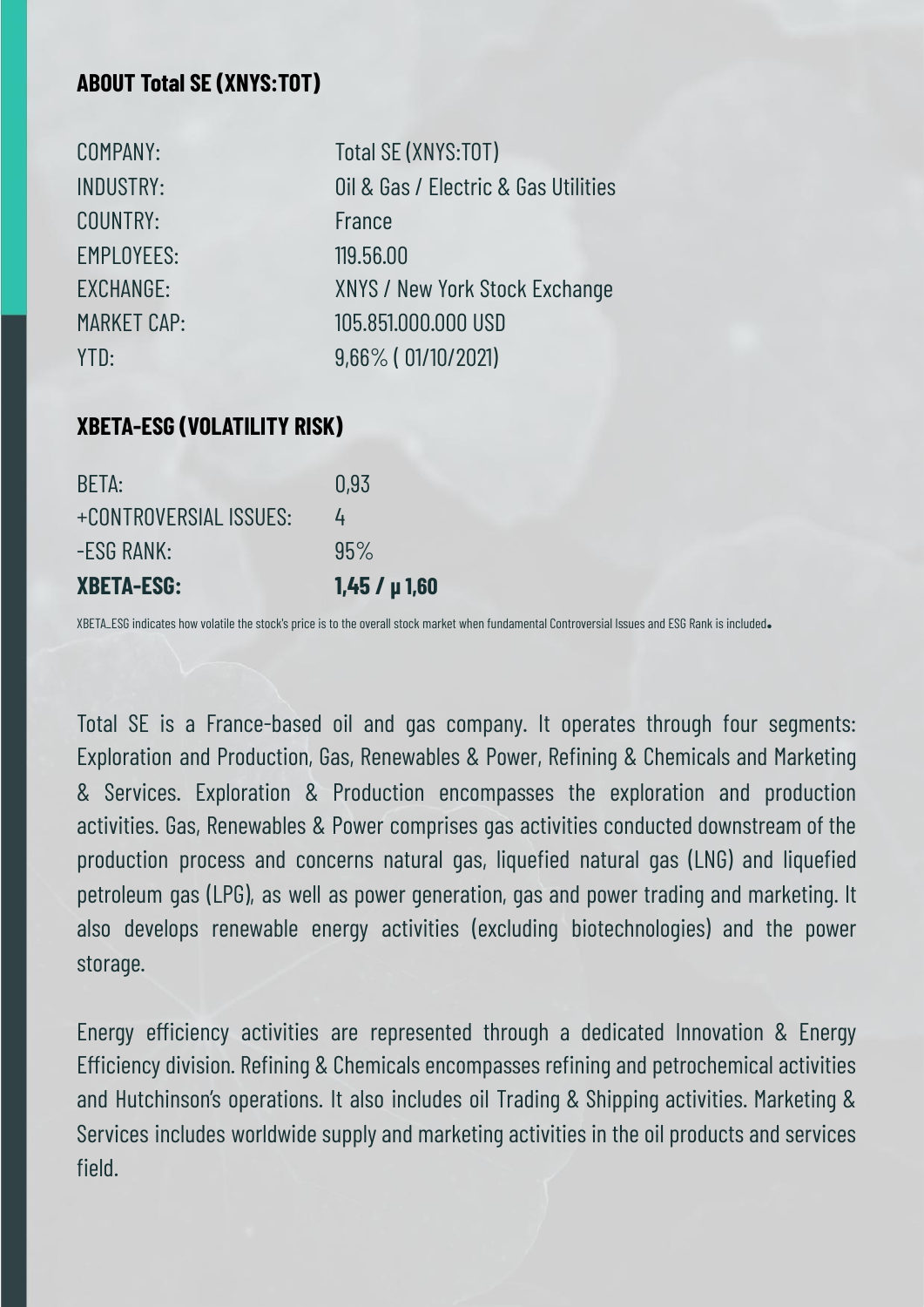#### **ABOUT Total SE (XNYS:TOT)**

COUNTRY: France EMPLOYEES: 119.56.00

COMPANY: Total SE (XNYS:TOT) INDUSTRY: Oil & Gas / Electric & Gas Utilities EXCHANGE: XNYS / New York Stock Exchange MARKET CAP: 105.851.000.000 USD YTD: 9,66% ( 01/10/2021)

#### <span id="page-4-0"></span>**XBETA-ESG (VOLATILITY RISK)**

| <b>XBETA-ESG:</b>      | $1,45/ \mu 1,60$ |
|------------------------|------------------|
| -ESG RANK:             | 95%              |
| +CONTROVERSIAL ISSUES: | 4                |
| BETA:                  | 0.93             |

XBETA\_ESG indicates how volatile the stock's price is to the overall stock market when fundamental Controversial Issues and ESG Rank is included**.**

Total SE is a France-based oil and gas company. It operates through four segments: Exploration and Production, Gas, Renewables & Power, Refining & Chemicals and Marketing & Services. Exploration & Production encompasses the exploration and production activities. Gas, Renewables & Power comprises gas activities conducted downstream of the production process and concerns natural gas, liquefied natural gas (LNG) and liquefied petroleum gas (LPG), as well as power generation, gas and power trading and marketing. It also develops renewable energy activities (excluding biotechnologies) and the power storage.

Energy efficiency activities are represented through a dedicated Innovation & Energy Efficiency division. Refining & Chemicals encompasses refining and petrochemical activities and Hutchinson's operations. It also includes oil Trading & Shipping activities. Marketing & Services includes worldwide supply and marketing activities in the oil products and services field.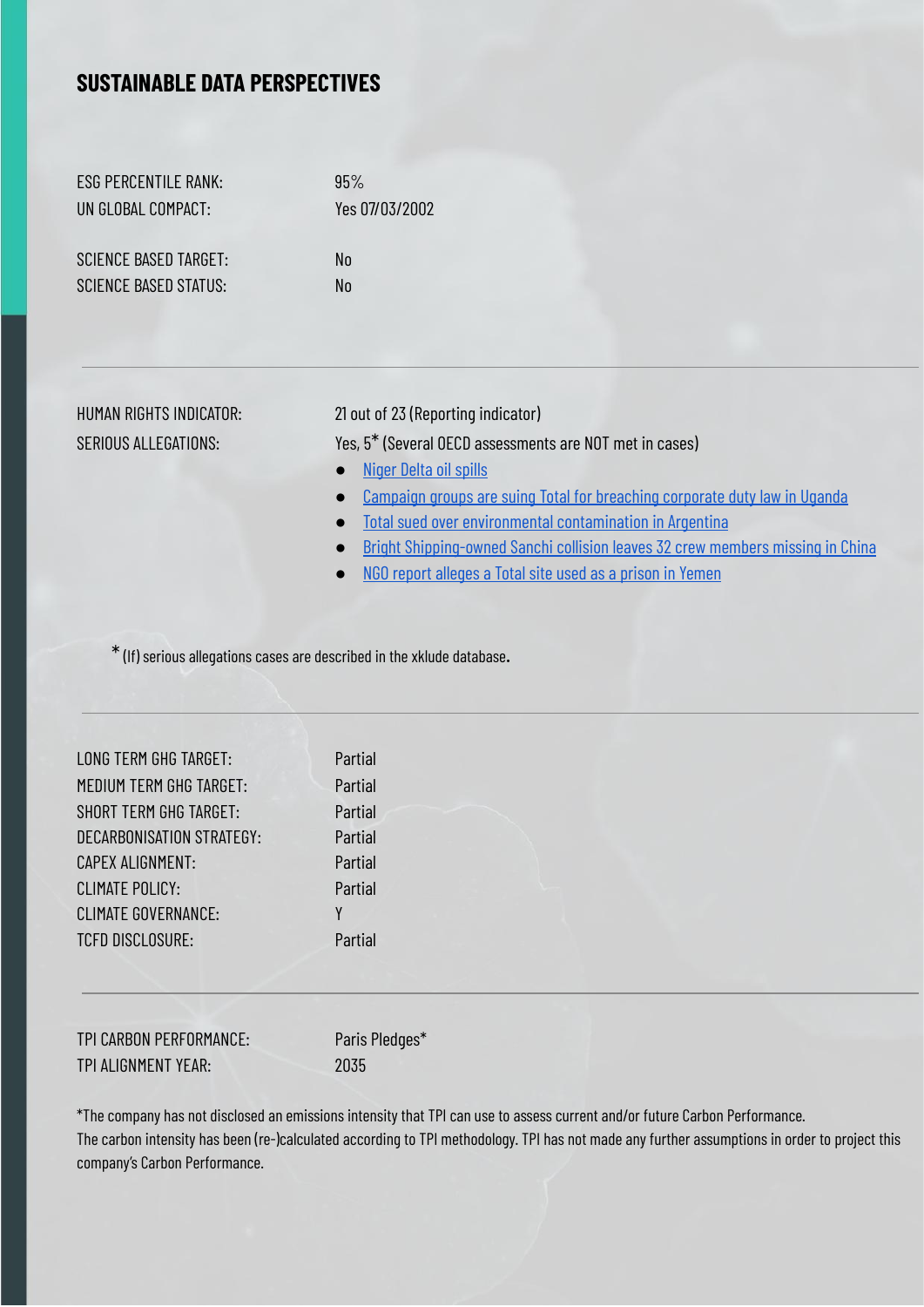#### <span id="page-5-0"></span>**SUSTAINABLE DATA PERSPECTIVES**

ESG PERCENTILE RANK: 95% UN GLOBAL COMPACT: Yes 07/03/2002

SCIENCE BASED TARGET: No SCIENCE BASED STATUS: No

HUMAN RIGHTS INDICATOR: 21 out of 23 (Reporting indicator)

SERIOUS ALLEGATIONS: Yes, 5\* (Several OECD assessments are NOT met in cases)

- [Niger](https://ansvarligeinvesteringer.dk/index.php/289-2/#advanced-search/company-details/5f0c9286c1d80506c1bb4b90/?view_910_0_filters=%5B%7B%22text%22%3A%22ALL%22%2C%22field%22%3A%22field_675%22%2C%22operator%22%3A%22is%20not%20blank%22%2C%22value%22%3A%224%22%2C%22key%22%3A%222%22%7D%5D) Delta oil spills
- Campaign groups are suing Total for [breaching](https://ansvarligeinvesteringer.dk/index.php/289-2/#advanced-search/company-details/5f0c9286c1d80506c1bb4b90/?view_910_0_filters=%5B%7B%22text%22%3A%22ALL%22%2C%22field%22%3A%22field_675%22%2C%22operator%22%3A%22is%20not%20blank%22%2C%22value%22%3A%224%22%2C%22key%22%3A%222%22%7D%5D) corporate duty law in Uganda
- Total sued over environmental [contamination](https://ansvarligeinvesteringer.dk/index.php/289-2/#advanced-search/company-details/5f0c9286c1d80506c1bb4b90/?view_910_0_filters=%5B%7B%22text%22%3A%22ALL%22%2C%22field%22%3A%22field_675%22%2C%22operator%22%3A%22is%20not%20blank%22%2C%22value%22%3A%224%22%2C%22key%22%3A%222%22%7D%5D) in Argentina
- Bright [Shipping-owned](https://ansvarligeinvesteringer.dk/index.php/289-2/#advanced-search/company-details/5f0c9286c1d80506c1bb4b90/?view_910_0_filters=%5B%7B%22text%22%3A%22ALL%22%2C%22field%22%3A%22field_675%22%2C%22operator%22%3A%22is%20not%20blank%22%2C%22value%22%3A%224%22%2C%22key%22%3A%222%22%7D%5D) Sanchi collision leaves 32 crew members missing in China
- NGO report [alleges](https://ansvarligeinvesteringer.dk/index.php/289-2/#advanced-search/company-details/5f0c9286c1d80506c1bb4b90/?view_910_0_filters=%5B%7B%22text%22%3A%22ALL%22%2C%22field%22%3A%22field_675%22%2C%22operator%22%3A%22is%20not%20blank%22%2C%22value%22%3A%224%22%2C%22key%22%3A%222%22%7D%5D) a Total site used as a prison in Yemen

\*(If) serious allegations cases are described in the xklude database.

| <b>LONG TERM GHG TARGET:</b>   | Partial |
|--------------------------------|---------|
| <b>MEDIUM TERM GHG TARGET:</b> | Partial |
| <b>SHORT TERM GHG TARGET:</b>  | Partial |
| DECARBONISATION STRATEGY:      | Partial |
| <b>CAPEX ALIGNMENT:</b>        | Partial |
| <b>CLIMATE POLICY:</b>         | Partial |
| <b>CLIMATE GOVERNANCE:</b>     | γ       |
| <b>TCFD DISCLOSURE:</b>        | Partial |
|                                |         |

TPI CARBON PERFORMANCE: Paris Pledges\* TPI ALIGNMENT YEAR: 2035

\*The company has not disclosed an emissions intensity that TPI can use to assess current and/or future Carbon Performance. The carbon intensity has been (re-)calculated according to TPI methodology. TPI has not made any further assumptions in order to project this company's Carbon Performance.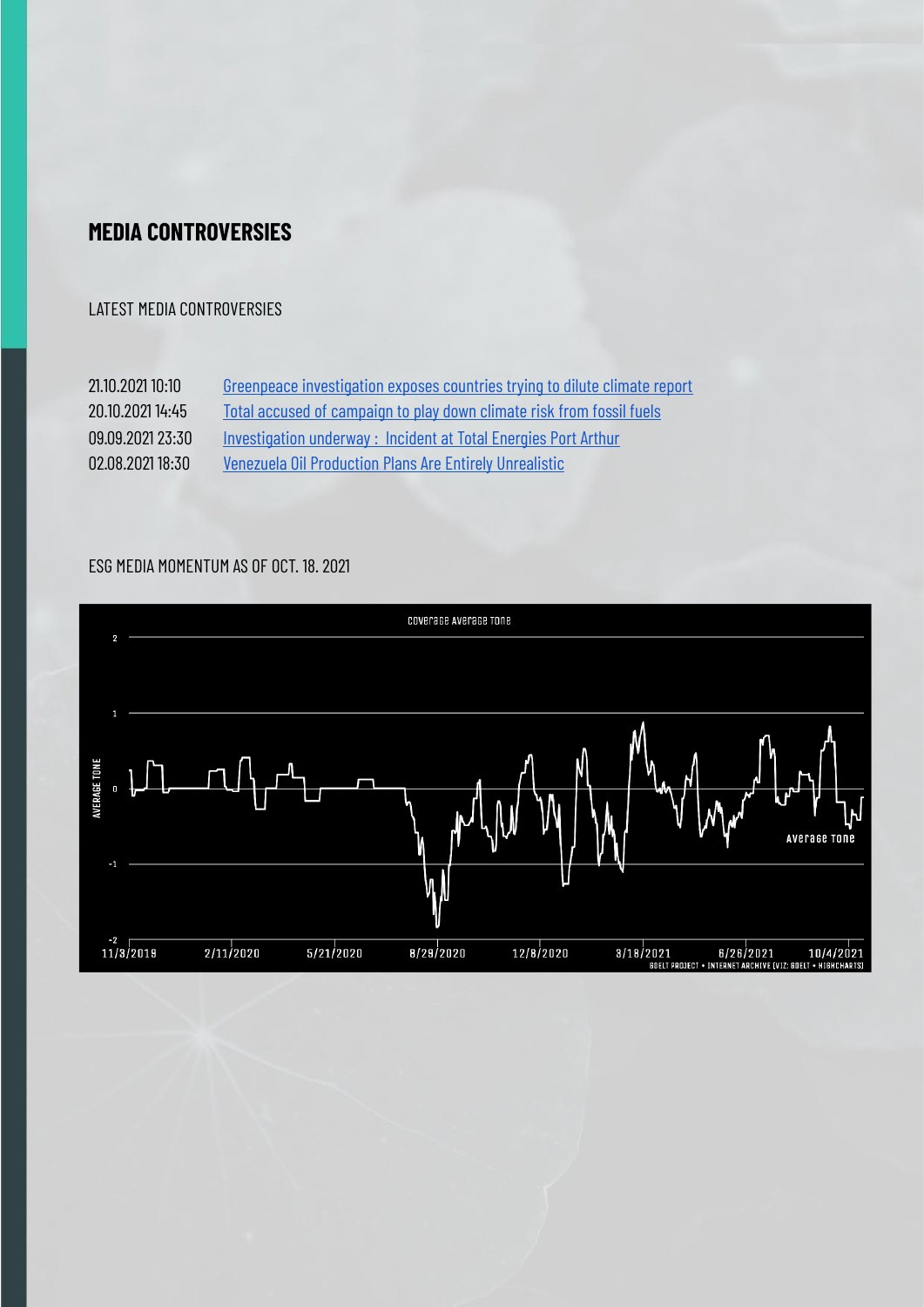#### <span id="page-6-0"></span>**MEDIA CONTROVERSIES**

#### LATEST MEDIA CONTROVERSIES

21.10.2021 10:10 Greenpeace [investigation](https://mg.co.za/environment/2021-10-21-greenpeace-investigation-exposes-countries-trying-to-dilute-climate-report/) exposes countries trying to dilute climate report 20.10.2021 14:45 Total accused of [campaign](https://www.ft.com/content/6eda5a07-d0b9-4b43-928c-1db151ba4ced) to play down climate risk from fossil fuels 09.09.2021 23:30 [Investigation](https://www.12newsnow.com/article/news/local/power-city/incident-total-energies-refinery-port-arthur-investigation/502-81ec4ea5-5587-4b53-80d0-46c2f81b2ee1) underway : Incident at Total Energies Port Arthur 02.08.2021 18:30 Venezuela Oil [Production](https://oilprice.com/Energy/Energy-General/Venezuelas-Oil-Production-Plans-Are-Entirely-Unrealistic.html) Plans Are Entirely Unrealistic

#### ESG MEDIA MOMENTUM AS OF OCT. 18. 2021